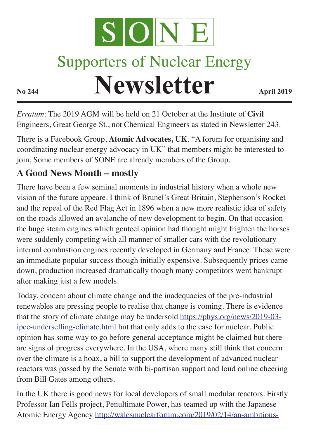

# **Supporters of Nuclear Energy**

**Newsletter April 2019** 

*Erratum*: The 2019 AGM will be held on 21 October at the Institute of **Civil** Engineers, Great George St., not Chemical Engineers as stated in Newsletter 243.

There is a Facebook Group, **Atomic Advocates, UK**. "A forum for organising and coordinating nuclear energy advocacy in UK" that members might be interested to join. Some members of SONE are already members of the Group.

## **A Good News Month – mostly**

There have been a few seminal moments in industrial history when a whole new vision of the future appeare. I think of Brunel's Great Britain, Stephenson's Rocket and the repeal of the Red Flag Act in 1896 when a new more realistic idea of safety on the roads allowed an avalanche of new development to begin. On that occasion the huge steam engines which genteel opinion had thought might frighten the horses were suddenly competing with all manner of smaller cars with the revolutionary internal combustion engines recently developed in Germany and France. These were an immediate popular success though initially expensive. Subsequently prices came down, production increased dramatically though many competitors went bankrupt after making just a few models.

Today, concern about climate change and the inadequacies of the pre-industrial renewables are pressing people to realise that change is coming. There is evidence that the story of climate change may be undersold https://phys.org/news/2019-03 ipcc-underselling-climate.html but that only adds to the case for nuclear. Public opinion has some way to go before general acceptance might be claimed but there are signs of progress everywhere. In the USA, where many still think that concern over the climate is a hoax, a bill to support the development of advanced nuclear reactors was passed by the Senate with bi-partisan support and loud online cheering from Bill Gates among others.

In the UK there is good news for local developers of small modular reactors. Firstly Professor Ian Fells project, Penultimate Power, has teamed up with the Japanese Atomic Energy Agency http://walesnuclearforum.com/2019/02/14/an-ambitious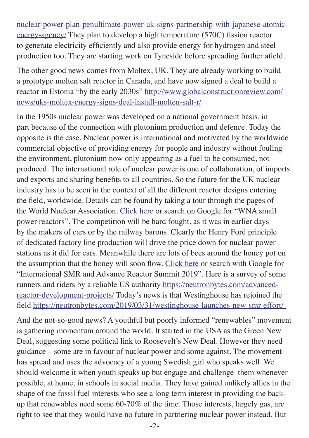nuclear-power-plan-penultimate-power-uk-signs-partnership-with-japanese-atomicenergy-agency/ They plan to develop a high temperature (570C) fission reactor to generate electricity efficiently and also provide energy for hydrogen and steel production too. They are starting work on Tyneside before spreading further afield.

The other good news comes from Moltex, UK. They are already working to build a prototype molten salt reactor in Canada, and have now signed a deal to build a reactor in Estonia "by the early 2030s" http://www.globalconstructionreview.com/ news/uks-moltex-energy-signs-deal-install-molten-salt-r/

In the 1950s nuclear power was developed on a national government basis, in part because of the connection with plutonium production and defence. Today the opposite is the case. Nuclear power is international and motivated by the worldwide commercial objective of providing energy for people and industry without fouling the environment, plutonium now only appearing as a fuel to be consumed, not produced. The international role of nuclear power is one of collaboration, of imports and exports and sharing benefits to all countries. So the future for the UK nuclear industry has to be seen in the context of all the different reactor designs entering the field, worldwide. Details can be found by taking a tour through the pages of the World Nuclear Association. Click here or search on Google for "WNA small power reactors". The competition will be hard fought, as it was in earlier days by the makers of cars or by the railway barons. Clearly the Henry Ford principle of dedicated factory line production will drive the price down for nuclear power stations as it did for cars. Meanwhile there are lots of bees around the honey pot on the assumption that the honey will soon flow. Click here or search with Google for "International SMR and Advance Reactor Summit 2019". Here is a survey of some runners and riders by a reliable US authority https://neutronbytes.com/advancedreactor-development-projects/ Today's news is that Westinghouse has rejoined the field https://neutronbytes.com/2019/03/31/westinghouse-launches-new-smr-effort/

And the not-so-good news? A youthful but poorly informed "renewables" movement is gathering momentum around the world. It started in the USA as the Green New Deal, suggesting some political link to Roosevelt's New Deal. However they need guidance – some are in favour of nuclear power and some against. The movement has spread and uses the advocacy of a young Swedish girl who speaks well. We should welcome it when youth speaks up but engage and challenge them whenever possible, at home, in schools in social media. They have gained unlikely allies in the shape of the fossil fuel interests who see a long term interest in providing the backup that renewables need some 60-70% of the time. Those interests, largely gas, are right to see that they would have no future in partnering nuclear power instead. But

 $-2$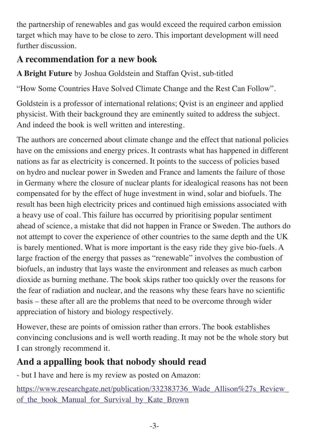the partnership of renewables and gas would exceed the required carbon emission target which may have to be close to zero. This important development will need further discussion.

## **A recommendation for a new book**

**A Bright Future** by Joshua Goldstein and Staffan Qvist, sub-titled

"How Some Countries Have Solved Climate Change and the Rest Can Follow".

Goldstein is a professor of international relations; Qvist is an engineer and applied physicist. With their background they are eminently suited to address the subject. And indeed the book is well written and interesting.

The authors are concerned about climate change and the effect that national policies have on the emissions and energy prices. It contrasts what has happened in different nations as far as electricity is concerned. It points to the success of policies based on hydro and nuclear power in Sweden and France and laments the failure of those in Germany where the closure of nuclear plants for idealogical reasons has not been compensated for by the effect of huge investment in wind, solar and biofuels. The result has been high electricity prices and continued high emissions associated with a heavy use of coal. This failure has occurred by prioritising popular sentiment ahead of science, a mistake that did not happen in France or Sweden. The authors do not attempt to cover the experience of other countries to the same depth and the UK is barely mentioned. What is more important is the easy ride they give bio-fuels. A large fraction of the energy that passes as "renewable" involves the combustion of biofuels, an industry that lays waste the environment and releases as much carbon dioxide as burning methane. The book skips rather too quickly over the reasons for the fear of radiation and nuclear, and the reasons why these fears have no scientific basis – these after all are the problems that need to be overcome through wider appreciation of history and biology respectively.

However, these are points of omission rather than errors. The book establishes convincing conclusions and is well worth reading. It may not be the whole story but I can strongly recommend it.

## **And a appalling book that nobody should read**

- but I have and here is my review as posted on Amazon:

https://www.researchgate.net/publication/332383736\_Wade\_Allison%27s\_Review\_ of the book Manual for Survival by Kate Brown